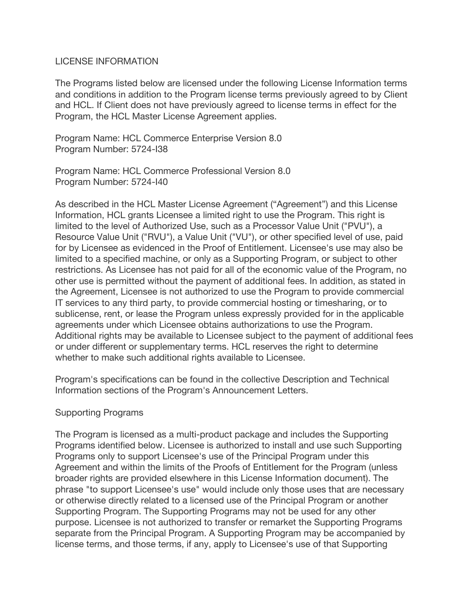## LICENSE INFORMATION

The Programs listed below are licensed under the following License Information terms and conditions in addition to the Program license terms previously agreed to by Client and HCL. If Client does not have previously agreed to license terms in effect for the Program, the HCL Master License Agreement applies.

Program Name: HCL Commerce Enterprise Version 8.0 Program Number: 5724-I38

Program Name: HCL Commerce Professional Version 8.0 Program Number: 5724-I40

As described in the HCL Master License Agreement ("Agreement") and this License Information, HCL grants Licensee a limited right to use the Program. This right is limited to the level of Authorized Use, such as a Processor Value Unit ("PVU"), a Resource Value Unit ("RVU"), a Value Unit ("VU"), or other specified level of use, paid for by Licensee as evidenced in the Proof of Entitlement. Licensee's use may also be limited to a specified machine, or only as a Supporting Program, or subject to other restrictions. As Licensee has not paid for all of the economic value of the Program, no other use is permitted without the payment of additional fees. In addition, as stated in the Agreement, Licensee is not authorized to use the Program to provide commercial IT services to any third party, to provide commercial hosting or timesharing, or to sublicense, rent, or lease the Program unless expressly provided for in the applicable agreements under which Licensee obtains authorizations to use the Program. Additional rights may be available to Licensee subject to the payment of additional fees or under different or supplementary terms. HCL reserves the right to determine whether to make such additional rights available to Licensee.

Program's specifications can be found in the collective Description and Technical Information sections of the Program's Announcement Letters.

## Supporting Programs

The Program is licensed as a multi-product package and includes the Supporting Programs identified below. Licensee is authorized to install and use such Supporting Programs only to support Licensee's use of the Principal Program under this Agreement and within the limits of the Proofs of Entitlement for the Program (unless broader rights are provided elsewhere in this License Information document). The phrase "to support Licensee's use" would include only those uses that are necessary or otherwise directly related to a licensed use of the Principal Program or another Supporting Program. The Supporting Programs may not be used for any other purpose. Licensee is not authorized to transfer or remarket the Supporting Programs separate from the Principal Program. A Supporting Program may be accompanied by license terms, and those terms, if any, apply to Licensee's use of that Supporting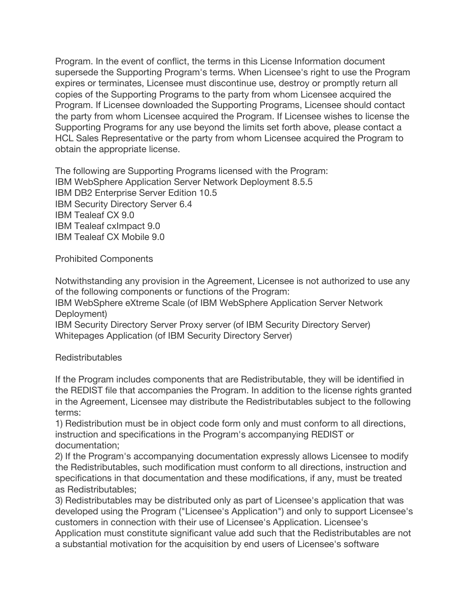Program. In the event of conflict, the terms in this License Information document supersede the Supporting Program's terms. When Licensee's right to use the Program expires or terminates, Licensee must discontinue use, destroy or promptly return all copies of the Supporting Programs to the party from whom Licensee acquired the Program. If Licensee downloaded the Supporting Programs, Licensee should contact the party from whom Licensee acquired the Program. If Licensee wishes to license the Supporting Programs for any use beyond the limits set forth above, please contact a HCL Sales Representative or the party from whom Licensee acquired the Program to obtain the appropriate license.

The following are Supporting Programs licensed with the Program: IBM WebSphere Application Server Network Deployment 8.5.5 IBM DB2 Enterprise Server Edition 10.5 IBM Security Directory Server 6.4 IBM Tealeaf CX 9.0 IBM Tealeaf cxImpact 9.0 IBM Tealeaf CX Mobile 9.0

Prohibited Components

Notwithstanding any provision in the Agreement, Licensee is not authorized to use any of the following components or functions of the Program:

IBM WebSphere eXtreme Scale (of IBM WebSphere Application Server Network Deployment)

IBM Security Directory Server Proxy server (of IBM Security Directory Server) Whitepages Application (of IBM Security Directory Server)

Redistributables

If the Program includes components that are Redistributable, they will be identified in the REDIST file that accompanies the Program. In addition to the license rights granted in the Agreement, Licensee may distribute the Redistributables subject to the following terms:

1) Redistribution must be in object code form only and must conform to all directions, instruction and specifications in the Program's accompanying REDIST or documentation;

2) If the Program's accompanying documentation expressly allows Licensee to modify the Redistributables, such modification must conform to all directions, instruction and specifications in that documentation and these modifications, if any, must be treated as Redistributables;

3) Redistributables may be distributed only as part of Licensee's application that was developed using the Program ("Licensee's Application") and only to support Licensee's customers in connection with their use of Licensee's Application. Licensee's Application must constitute significant value add such that the Redistributables are not a substantial motivation for the acquisition by end users of Licensee's software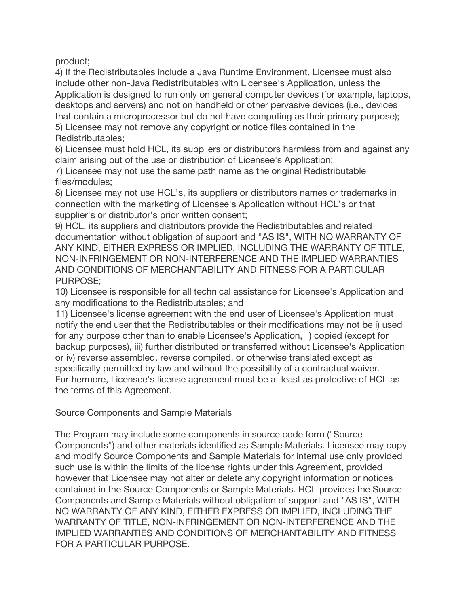product;

4) If the Redistributables include a Java Runtime Environment, Licensee must also include other non-Java Redistributables with Licensee's Application, unless the Application is designed to run only on general computer devices (for example, laptops, desktops and servers) and not on handheld or other pervasive devices (i.e., devices that contain a microprocessor but do not have computing as their primary purpose); 5) Licensee may not remove any copyright or notice files contained in the Redistributables;

6) Licensee must hold HCL, its suppliers or distributors harmless from and against any claim arising out of the use or distribution of Licensee's Application;

7) Licensee may not use the same path name as the original Redistributable files/modules;

8) Licensee may not use HCL's, its suppliers or distributors names or trademarks in connection with the marketing of Licensee's Application without HCL's or that supplier's or distributor's prior written consent;

9) HCL, its suppliers and distributors provide the Redistributables and related documentation without obligation of support and "AS IS", WITH NO WARRANTY OF ANY KIND, EITHER EXPRESS OR IMPLIED, INCLUDING THE WARRANTY OF TITLE, NON-INFRINGEMENT OR NON-INTERFERENCE AND THE IMPLIED WARRANTIES AND CONDITIONS OF MERCHANTABILITY AND FITNESS FOR A PARTICULAR PURPOSE;

10) Licensee is responsible for all technical assistance for Licensee's Application and any modifications to the Redistributables; and

11) Licensee's license agreement with the end user of Licensee's Application must notify the end user that the Redistributables or their modifications may not be i) used for any purpose other than to enable Licensee's Application, ii) copied (except for backup purposes), iii) further distributed or transferred without Licensee's Application or iv) reverse assembled, reverse compiled, or otherwise translated except as specifically permitted by law and without the possibility of a contractual waiver. Furthermore, Licensee's license agreement must be at least as protective of HCL as the terms of this Agreement.

Source Components and Sample Materials

The Program may include some components in source code form ("Source Components") and other materials identified as Sample Materials. Licensee may copy and modify Source Components and Sample Materials for internal use only provided such use is within the limits of the license rights under this Agreement, provided however that Licensee may not alter or delete any copyright information or notices contained in the Source Components or Sample Materials. HCL provides the Source Components and Sample Materials without obligation of support and "AS IS", WITH NO WARRANTY OF ANY KIND, EITHER EXPRESS OR IMPLIED, INCLUDING THE WARRANTY OF TITLE, NON-INFRINGEMENT OR NON-INTERFERENCE AND THE IMPLIED WARRANTIES AND CONDITIONS OF MERCHANTABILITY AND FITNESS FOR A PARTICULAR PURPOSE.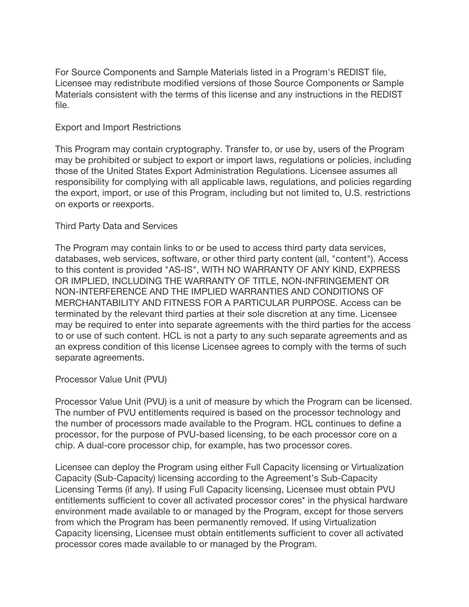For Source Components and Sample Materials listed in a Program's REDIST file, Licensee may redistribute modified versions of those Source Components or Sample Materials consistent with the terms of this license and any instructions in the REDIST file.

### Export and Import Restrictions

This Program may contain cryptography. Transfer to, or use by, users of the Program may be prohibited or subject to export or import laws, regulations or policies, including those of the United States Export Administration Regulations. Licensee assumes all responsibility for complying with all applicable laws, regulations, and policies regarding the export, import, or use of this Program, including but not limited to, U.S. restrictions on exports or reexports.

### Third Party Data and Services

The Program may contain links to or be used to access third party data services, databases, web services, software, or other third party content (all, "content"). Access to this content is provided "AS-IS", WITH NO WARRANTY OF ANY KIND, EXPRESS OR IMPLIED, INCLUDING THE WARRANTY OF TITLE, NON-INFRINGEMENT OR NON-INTERFERENCE AND THE IMPLIED WARRANTIES AND CONDITIONS OF MERCHANTABILITY AND FITNESS FOR A PARTICULAR PURPOSE. Access can be terminated by the relevant third parties at their sole discretion at any time. Licensee may be required to enter into separate agreements with the third parties for the access to or use of such content. HCL is not a party to any such separate agreements and as an express condition of this license Licensee agrees to comply with the terms of such separate agreements.

Processor Value Unit (PVU)

Processor Value Unit (PVU) is a unit of measure by which the Program can be licensed. The number of PVU entitlements required is based on the processor technology and the number of processors made available to the Program. HCL continues to define a processor, for the purpose of PVU-based licensing, to be each processor core on a chip. A dual-core processor chip, for example, has two processor cores.

Licensee can deploy the Program using either Full Capacity licensing or Virtualization Capacity (Sub-Capacity) licensing according to the Agreement's Sub-Capacity Licensing Terms (if any). If using Full Capacity licensing, Licensee must obtain PVU entitlements sufficient to cover all activated processor cores\* in the physical hardware environment made available to or managed by the Program, except for those servers from which the Program has been permanently removed. If using Virtualization Capacity licensing, Licensee must obtain entitlements sufficient to cover all activated processor cores made available to or managed by the Program.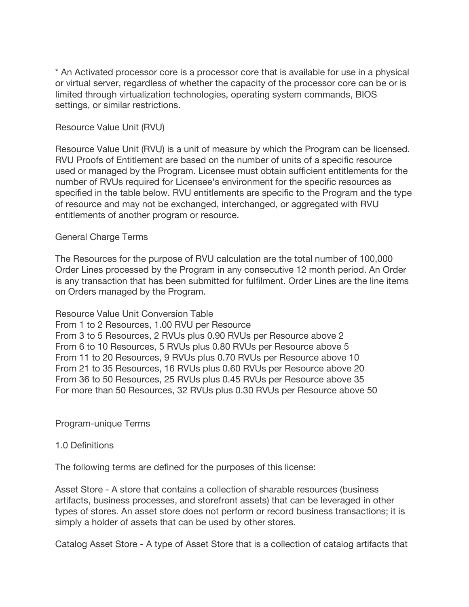\* An Activated processor core is a processor core that is available for use in a physical or virtual server, regardless of whether the capacity of the processor core can be or is limited through virtualization technologies, operating system commands, BIOS settings, or similar restrictions.

### Resource Value Unit (RVU)

Resource Value Unit (RVU) is a unit of measure by which the Program can be licensed. RVU Proofs of Entitlement are based on the number of units of a specific resource used or managed by the Program. Licensee must obtain sufficient entitlements for the number of RVUs required for Licensee's environment for the specific resources as specified in the table below. RVU entitlements are specific to the Program and the type of resource and may not be exchanged, interchanged, or aggregated with RVU entitlements of another program or resource.

## General Charge Terms

The Resources for the purpose of RVU calculation are the total number of 100,000 Order Lines processed by the Program in any consecutive 12 month period. An Order is any transaction that has been submitted for fulfilment. Order Lines are the line items on Orders managed by the Program.

Resource Value Unit Conversion Table From 1 to 2 Resources, 1.00 RVU per Resource From 3 to 5 Resources, 2 RVUs plus 0.90 RVUs per Resource above 2 From 6 to 10 Resources, 5 RVUs plus 0.80 RVUs per Resource above 5 From 11 to 20 Resources, 9 RVUs plus 0.70 RVUs per Resource above 10 From 21 to 35 Resources, 16 RVUs plus 0.60 RVUs per Resource above 20 From 36 to 50 Resources, 25 RVUs plus 0.45 RVUs per Resource above 35 For more than 50 Resources, 32 RVUs plus 0.30 RVUs per Resource above 50

Program-unique Terms

#### 1.0 Definitions

The following terms are defined for the purposes of this license:

Asset Store - A store that contains a collection of sharable resources (business artifacts, business processes, and storefront assets) that can be leveraged in other types of stores. An asset store does not perform or record business transactions; it is simply a holder of assets that can be used by other stores.

Catalog Asset Store - A type of Asset Store that is a collection of catalog artifacts that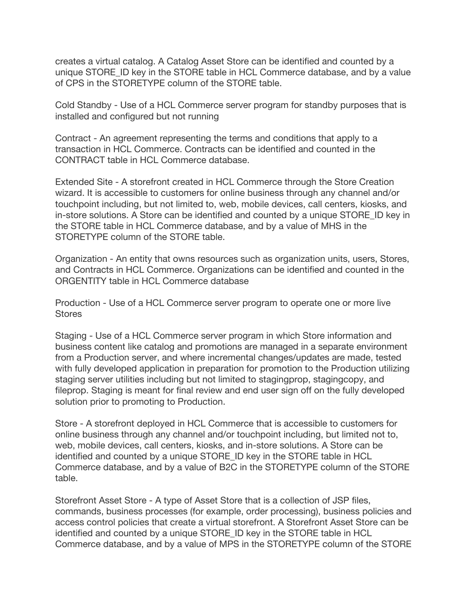creates a virtual catalog. A Catalog Asset Store can be identified and counted by a unique STORE ID key in the STORE table in HCL Commerce database, and by a value of CPS in the STORETYPE column of the STORE table.

Cold Standby - Use of a HCL Commerce server program for standby purposes that is installed and configured but not running

Contract - An agreement representing the terms and conditions that apply to a transaction in HCL Commerce. Contracts can be identified and counted in the CONTRACT table in HCL Commerce database.

Extended Site - A storefront created in HCL Commerce through the Store Creation wizard. It is accessible to customers for online business through any channel and/or touchpoint including, but not limited to, web, mobile devices, call centers, kiosks, and in-store solutions. A Store can be identified and counted by a unique STORE\_ID key in the STORE table in HCL Commerce database, and by a value of MHS in the STORETYPE column of the STORE table.

Organization - An entity that owns resources such as organization units, users, Stores, and Contracts in HCL Commerce. Organizations can be identified and counted in the ORGENTITY table in HCL Commerce database

Production - Use of a HCL Commerce server program to operate one or more live **Stores** 

Staging - Use of a HCL Commerce server program in which Store information and business content like catalog and promotions are managed in a separate environment from a Production server, and where incremental changes/updates are made, tested with fully developed application in preparation for promotion to the Production utilizing staging server utilities including but not limited to stagingprop, stagingcopy, and fileprop. Staging is meant for final review and end user sign off on the fully developed solution prior to promoting to Production.

Store - A storefront deployed in HCL Commerce that is accessible to customers for online business through any channel and/or touchpoint including, but limited not to, web, mobile devices, call centers, kiosks, and in-store solutions. A Store can be identified and counted by a unique STORE\_ID key in the STORE table in HCL Commerce database, and by a value of B2C in the STORETYPE column of the STORE table.

Storefront Asset Store - A type of Asset Store that is a collection of JSP files, commands, business processes (for example, order processing), business policies and access control policies that create a virtual storefront. A Storefront Asset Store can be identified and counted by a unique STORE\_ID key in the STORE table in HCL Commerce database, and by a value of MPS in the STORETYPE column of the STORE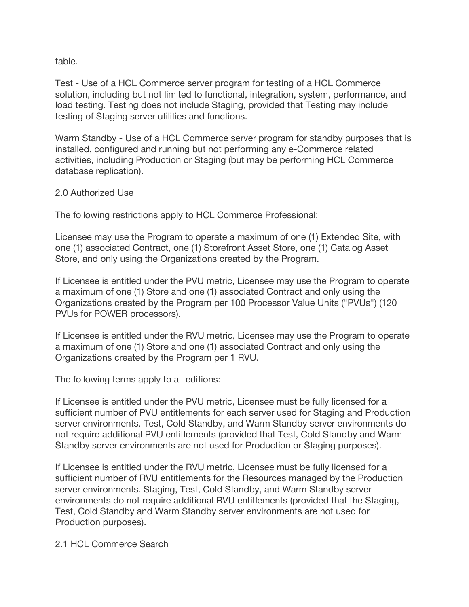table.

Test - Use of a HCL Commerce server program for testing of a HCL Commerce solution, including but not limited to functional, integration, system, performance, and load testing. Testing does not include Staging, provided that Testing may include testing of Staging server utilities and functions.

Warm Standby - Use of a HCL Commerce server program for standby purposes that is installed, configured and running but not performing any e-Commerce related activities, including Production or Staging (but may be performing HCL Commerce database replication).

# 2.0 Authorized Use

The following restrictions apply to HCL Commerce Professional:

Licensee may use the Program to operate a maximum of one (1) Extended Site, with one (1) associated Contract, one (1) Storefront Asset Store, one (1) Catalog Asset Store, and only using the Organizations created by the Program.

If Licensee is entitled under the PVU metric, Licensee may use the Program to operate a maximum of one (1) Store and one (1) associated Contract and only using the Organizations created by the Program per 100 Processor Value Units ("PVUs") (120 PVUs for POWER processors).

If Licensee is entitled under the RVU metric, Licensee may use the Program to operate a maximum of one (1) Store and one (1) associated Contract and only using the Organizations created by the Program per 1 RVU.

The following terms apply to all editions:

If Licensee is entitled under the PVU metric, Licensee must be fully licensed for a sufficient number of PVU entitlements for each server used for Staging and Production server environments. Test, Cold Standby, and Warm Standby server environments do not require additional PVU entitlements (provided that Test, Cold Standby and Warm Standby server environments are not used for Production or Staging purposes).

If Licensee is entitled under the RVU metric, Licensee must be fully licensed for a sufficient number of RVU entitlements for the Resources managed by the Production server environments. Staging, Test, Cold Standby, and Warm Standby server environments do not require additional RVU entitlements (provided that the Staging, Test, Cold Standby and Warm Standby server environments are not used for Production purposes).

2.1 HCL Commerce Search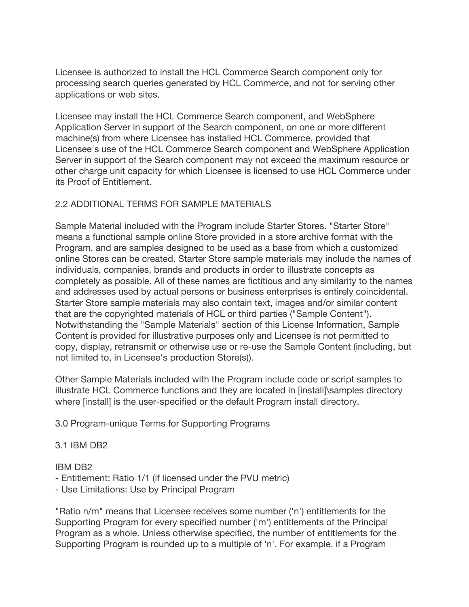Licensee is authorized to install the HCL Commerce Search component only for processing search queries generated by HCL Commerce, and not for serving other applications or web sites.

Licensee may install the HCL Commerce Search component, and WebSphere Application Server in support of the Search component, on one or more different machine(s) from where Licensee has installed HCL Commerce, provided that Licensee's use of the HCL Commerce Search component and WebSphere Application Server in support of the Search component may not exceed the maximum resource or other charge unit capacity for which Licensee is licensed to use HCL Commerce under its Proof of Entitlement.

# 2.2 ADDITIONAL TERMS FOR SAMPLE MATERIALS

Sample Material included with the Program include Starter Stores. "Starter Store" means a functional sample online Store provided in a store archive format with the Program, and are samples designed to be used as a base from which a customized online Stores can be created. Starter Store sample materials may include the names of individuals, companies, brands and products in order to illustrate concepts as completely as possible. All of these names are fictitious and any similarity to the names and addresses used by actual persons or business enterprises is entirely coincidental. Starter Store sample materials may also contain text, images and/or similar content that are the copyrighted materials of HCL or third parties ("Sample Content"). Notwithstanding the "Sample Materials" section of this License Information, Sample Content is provided for illustrative purposes only and Licensee is not permitted to copy, display, retransmit or otherwise use or re-use the Sample Content (including, but not limited to, in Licensee's production Store(s)).

Other Sample Materials included with the Program include code or script samples to illustrate HCL Commerce functions and they are located in [install]\samples directory where [install] is the user-specified or the default Program install directory.

3.0 Program-unique Terms for Supporting Programs

## 3.1 IBM DB2

## IBM DB2

- Entitlement: Ratio 1/1 (if licensed under the PVU metric)
- Use Limitations: Use by Principal Program

"Ratio n/m" means that Licensee receives some number ('n') entitlements for the Supporting Program for every specified number ('m') entitlements of the Principal Program as a whole. Unless otherwise specified, the number of entitlements for the Supporting Program is rounded up to a multiple of 'n'. For example, if a Program